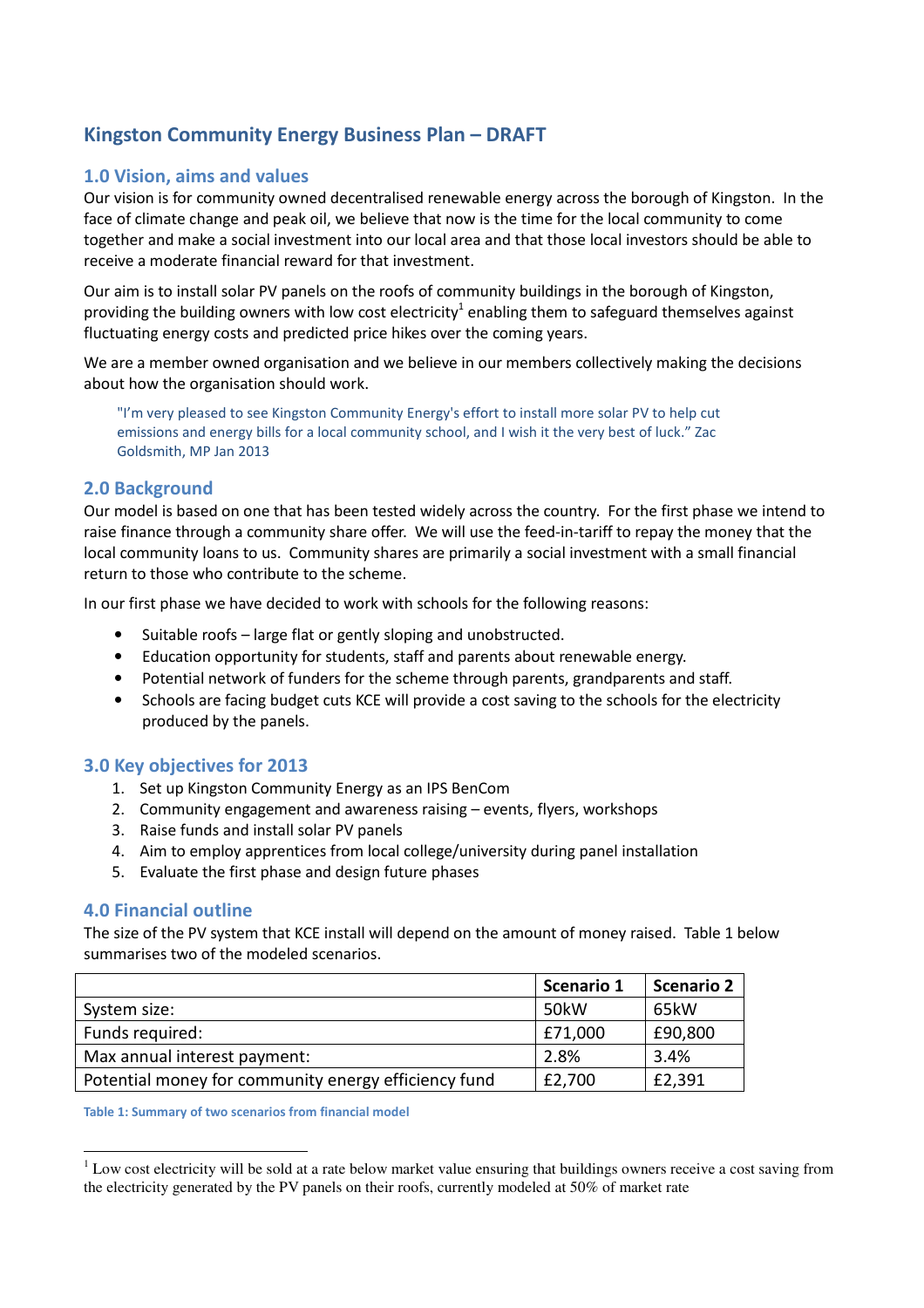# Kingston Community Energy Business Plan – DRAFT

## 1.0 Vision, aims and values

Our vision is for community owned decentralised renewable energy across the borough of Kingston. In the face of climate change and peak oil, we believe that now is the time for the local community to come together and make a social investment into our local area and that those local investors should be able to receive a moderate financial reward for that investment.

Our aim is to install solar PV panels on the roofs of community buildings in the borough of Kingston, providing the building owners with low cost electricity<sup>1</sup> enabling them to safeguard themselves against fluctuating energy costs and predicted price hikes over the coming years.

We are a member owned organisation and we believe in our members collectively making the decisions about how the organisation should work.

"I'm very pleased to see Kingston Community Energy's effort to install more solar PV to help cut emissions and energy bills for a local community school, and I wish it the very best of luck." Zac Goldsmith, MP Jan 2013

## 2.0 Background

Our model is based on one that has been tested widely across the country. For the first phase we intend to raise finance through a community share offer. We will use the feed-in-tariff to repay the money that the local community loans to us. Community shares are primarily a social investment with a small financial return to those who contribute to the scheme.

In our first phase we have decided to work with schools for the following reasons:

- Suitable roofs large flat or gently sloping and unobstructed.
- Education opportunity for students, staff and parents about renewable energy.
- Potential network of funders for the scheme through parents, grandparents and staff.
- Schools are facing budget cuts KCE will provide a cost saving to the schools for the electricity produced by the panels.

#### 3.0 Key objectives for 2013

- 1. Set up Kingston Community Energy as an IPS BenCom
- 2. Community engagement and awareness raising events, flyers, workshops
- 3. Raise funds and install solar PV panels
- 4. Aim to employ apprentices from local college/university during panel installation
- 5. Evaluate the first phase and design future phases

## 4.0 Financial outline

 $\overline{a}$ 

The size of the PV system that KCE install will depend on the amount of money raised. Table 1 below summarises two of the modeled scenarios.

|                                                      | Scenario 1 | <b>Scenario 2</b> |
|------------------------------------------------------|------------|-------------------|
| System size:                                         | 50kW       | 65kW              |
| Funds required:                                      | £71,000    | £90,800           |
| Max annual interest payment:                         | 2.8%       | 3.4%              |
| Potential money for community energy efficiency fund | £2,700     | £2,391            |

Table 1: Summary of two scenarios from financial model

 $1$  Low cost electricity will be sold at a rate below market value ensuring that buildings owners receive a cost saving from the electricity generated by the PV panels on their roofs, currently modeled at 50% of market rate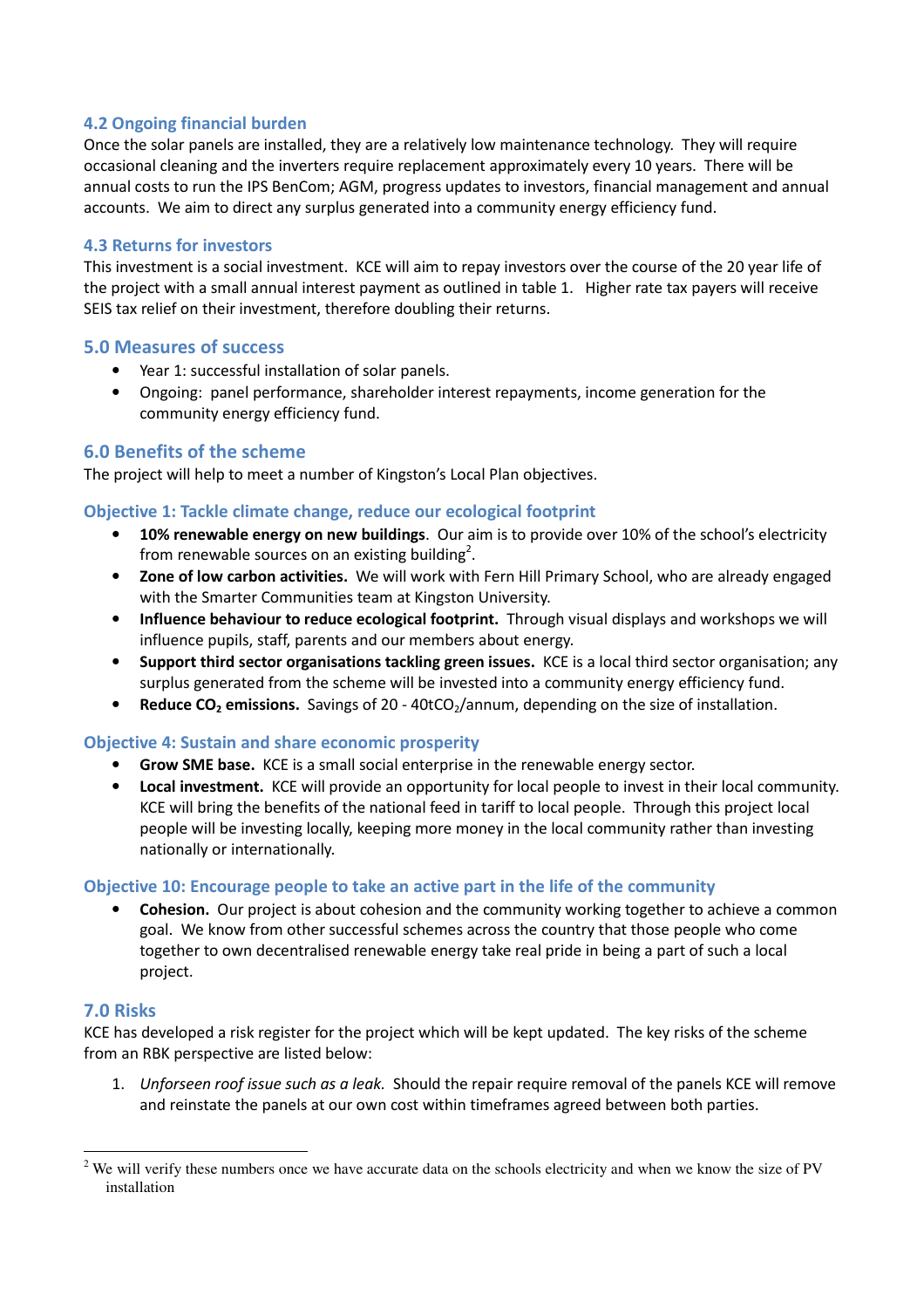## 4.2 Ongoing financial burden

Once the solar panels are installed, they are a relatively low maintenance technology. They will require occasional cleaning and the inverters require replacement approximately every 10 years. There will be annual costs to run the IPS BenCom; AGM, progress updates to investors, financial management and annual accounts. We aim to direct any surplus generated into a community energy efficiency fund.

### 4.3 Returns for investors

This investment is a social investment. KCE will aim to repay investors over the course of the 20 year life of the project with a small annual interest payment as outlined in table 1. Higher rate tax payers will receive SEIS tax relief on their investment, therefore doubling their returns.

### 5.0 Measures of success

- Year 1: successful installation of solar panels.
- Ongoing: panel performance, shareholder interest repayments, income generation for the community energy efficiency fund.

## 6.0 Benefits of the scheme

The project will help to meet a number of Kingston's Local Plan objectives.

### Objective 1: Tackle climate change, reduce our ecological footprint

- 10% renewable energy on new buildings. Our aim is to provide over 10% of the school's electricity from renewable sources on an existing building<sup>2</sup>.
- Zone of low carbon activities. We will work with Fern Hill Primary School, who are already engaged with the Smarter Communities team at Kingston University.
- Influence behaviour to reduce ecological footprint. Through visual displays and workshops we will influence pupils, staff, parents and our members about energy.
- Support third sector organisations tackling green issues. KCE is a local third sector organisation; any surplus generated from the scheme will be invested into a community energy efficiency fund.
- **Reduce CO<sub>2</sub> emissions.** Savings of 20 40tCO<sub>2</sub>/annum, depending on the size of installation.

## Objective 4: Sustain and share economic prosperity

- Grow SME base. KCE is a small social enterprise in the renewable energy sector.
- Local investment. KCE will provide an opportunity for local people to invest in their local community. KCE will bring the benefits of the national feed in tariff to local people. Through this project local people will be investing locally, keeping more money in the local community rather than investing nationally or internationally.

## Objective 10: Encourage people to take an active part in the life of the community

• Cohesion. Our project is about cohesion and the community working together to achieve a common goal. We know from other successful schemes across the country that those people who come together to own decentralised renewable energy take real pride in being a part of such a local project.

#### 7.0 Risks

 $\overline{a}$ 

KCE has developed a risk register for the project which will be kept updated. The key risks of the scheme from an RBK perspective are listed below:

1. Unforseen roof issue such as a leak. Should the repair require removal of the panels KCE will remove and reinstate the panels at our own cost within timeframes agreed between both parties.

 $2$  We will verify these numbers once we have accurate data on the schools electricity and when we know the size of PV installation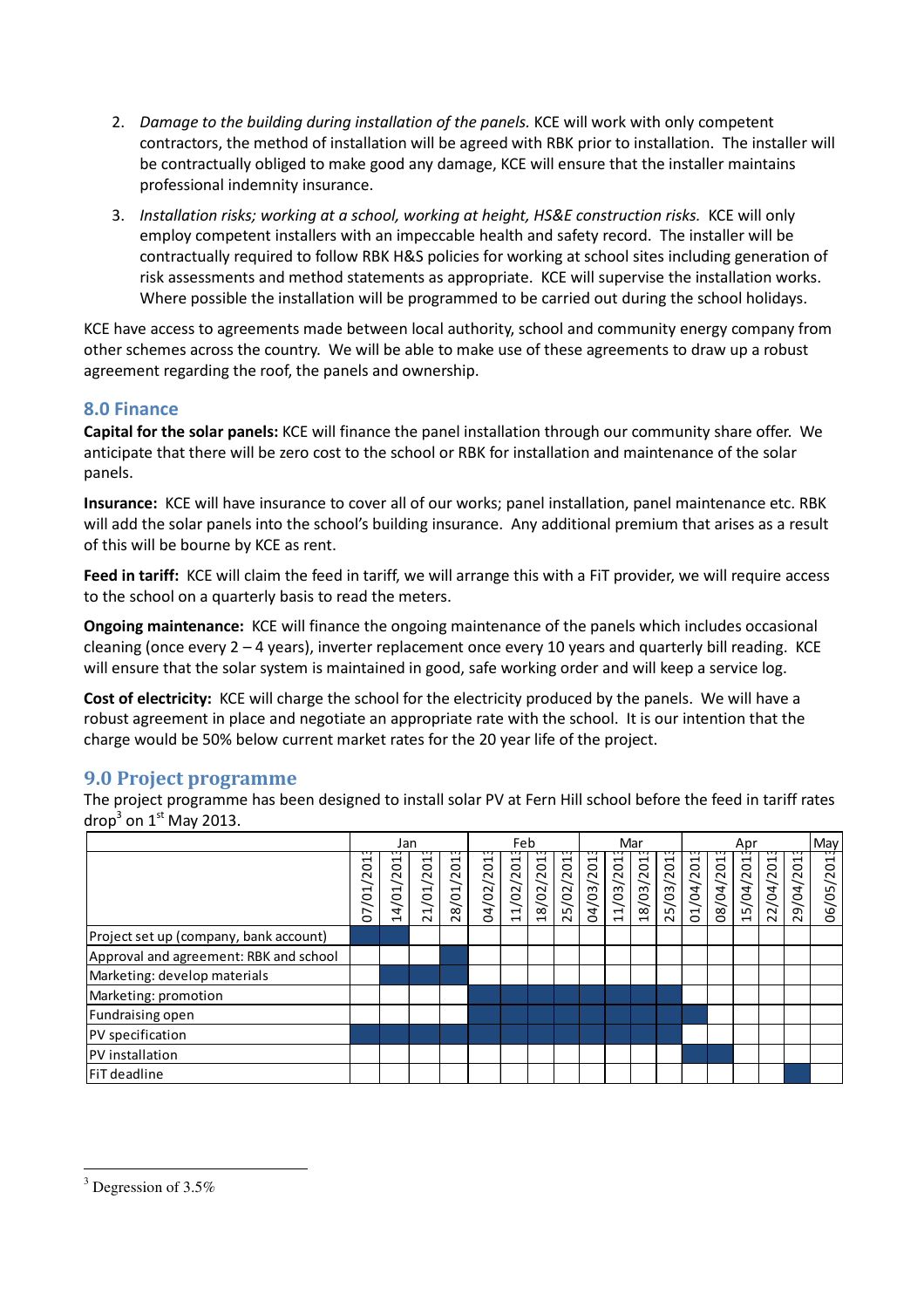- 2. Damage to the building during installation of the panels. KCE will work with only competent contractors, the method of installation will be agreed with RBK prior to installation. The installer will be contractually obliged to make good any damage, KCE will ensure that the installer maintains professional indemnity insurance.
- 3. Installation risks; working at a school, working at height, HS&E construction risks. KCE will only employ competent installers with an impeccable health and safety record. The installer will be contractually required to follow RBK H&S policies for working at school sites including generation of risk assessments and method statements as appropriate. KCE will supervise the installation works. Where possible the installation will be programmed to be carried out during the school holidays.

KCE have access to agreements made between local authority, school and community energy company from other schemes across the country. We will be able to make use of these agreements to draw up a robust agreement regarding the roof, the panels and ownership.

## 8.0 Finance

Capital for the solar panels: KCE will finance the panel installation through our community share offer. We anticipate that there will be zero cost to the school or RBK for installation and maintenance of the solar panels.

Insurance: KCE will have insurance to cover all of our works; panel installation, panel maintenance etc. RBK will add the solar panels into the school's building insurance. Any additional premium that arises as a result of this will be bourne by KCE as rent.

Feed in tariff: KCE will claim the feed in tariff, we will arrange this with a FiT provider, we will require access to the school on a quarterly basis to read the meters.

Ongoing maintenance: KCE will finance the ongoing maintenance of the panels which includes occasional cleaning (once every 2 – 4 years), inverter replacement once every 10 years and quarterly bill reading. KCE will ensure that the solar system is maintained in good, safe working order and will keep a service log.

Cost of electricity: KCE will charge the school for the electricity produced by the panels. We will have a robust agreement in place and negotiate an appropriate rate with the school. It is our intention that the charge would be 50% below current market rates for the 20 year life of the project.

## 9.0 Project programme

The project programme has been designed to install solar PV at Fern Hill school before the feed in tariff rates drop<sup>3</sup> on 1st May 2013.

|                                        | Jan                                                          |                                                                                |                                                               | Feb                                                    |                |                                             |                                                 | Mar             |           |              |           | Apr           |                   |                                      |                            | May           |                 |                     |
|----------------------------------------|--------------------------------------------------------------|--------------------------------------------------------------------------------|---------------------------------------------------------------|--------------------------------------------------------|----------------|---------------------------------------------|-------------------------------------------------|-----------------|-----------|--------------|-----------|---------------|-------------------|--------------------------------------|----------------------------|---------------|-----------------|---------------------|
|                                        | ↽<br>$\circ$<br>$\sim$<br>$\overline{\phantom{0}}$<br>ë<br>5 | ដ<br>$\sim$<br>$\overline{\phantom{0}}$<br>Ś<br>$\mathbf{A}$<br>$\blacksquare$ | /201<br>$\overline{01}$<br>$\overline{\phantom{0}}$<br>$\sim$ | π.<br>S.<br>/01/20<br>$\infty$<br>$\tilde{\mathbf{N}}$ | u<br>04/02/201 | /02/201<br>$\overline{ }$<br>$\blacksquare$ | /02/201<br>$\infty$<br>$\overline{\phantom{0}}$ | π.<br>25/02/201 | 04/03/201 | 103/201<br>4 | 18/03/201 | /03/201<br>25 | ដ<br>/04/20<br>ΣJ | S <sub>1</sub><br>104/20<br>$\infty$ | /04/201<br>$\overline{15}$ | /04/201<br>22 | पा<br>29/04/201 | ᠊ᡣ<br>S.<br>06/05/2 |
| Project set up (company, bank account) |                                                              |                                                                                |                                                               |                                                        |                |                                             |                                                 |                 |           |              |           |               |                   |                                      |                            |               |                 |                     |
| Approval and agreement: RBK and school |                                                              |                                                                                |                                                               |                                                        |                |                                             |                                                 |                 |           |              |           |               |                   |                                      |                            |               |                 |                     |
| Marketing: develop materials           |                                                              |                                                                                |                                                               |                                                        |                |                                             |                                                 |                 |           |              |           |               |                   |                                      |                            |               |                 |                     |
| Marketing: promotion                   |                                                              |                                                                                |                                                               |                                                        |                |                                             |                                                 |                 |           |              |           |               |                   |                                      |                            |               |                 |                     |
| Fundraising open                       |                                                              |                                                                                |                                                               |                                                        |                |                                             |                                                 |                 |           |              |           |               |                   |                                      |                            |               |                 |                     |
| PV specification                       |                                                              |                                                                                |                                                               |                                                        |                |                                             |                                                 |                 |           |              |           |               |                   |                                      |                            |               |                 |                     |
| <b>PV</b> installation                 |                                                              |                                                                                |                                                               |                                                        |                |                                             |                                                 |                 |           |              |           |               |                   |                                      |                            |               |                 |                     |
| <b>FiT</b> deadline                    |                                                              |                                                                                |                                                               |                                                        |                |                                             |                                                 |                 |           |              |           |               |                   |                                      |                            |               |                 |                     |

 $\overline{a}$ <sup>3</sup> Degression of 3.5%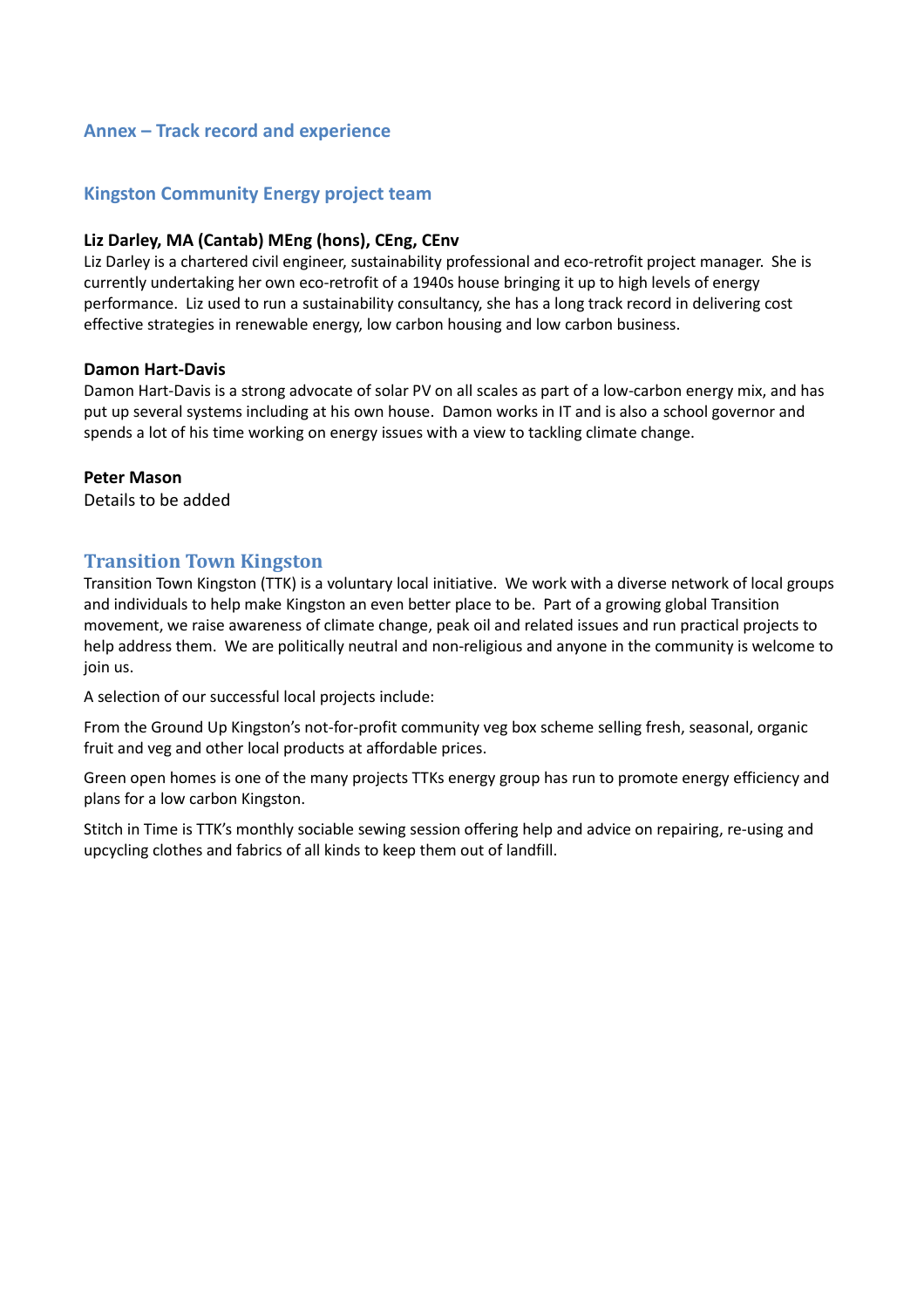## Annex – Track record and experience

## Kingston Community Energy project team

### Liz Darley, MA (Cantab) MEng (hons), CEng, CEnv

Liz Darley is a chartered civil engineer, sustainability professional and eco-retrofit project manager. She is currently undertaking her own eco-retrofit of a 1940s house bringing it up to high levels of energy performance. Liz used to run a sustainability consultancy, she has a long track record in delivering cost effective strategies in renewable energy, low carbon housing and low carbon business.

### Damon Hart-Davis

Damon Hart-Davis is a strong advocate of solar PV on all scales as part of a low-carbon energy mix, and has put up several systems including at his own house. Damon works in IT and is also a school governor and spends a lot of his time working on energy issues with a view to tackling climate change.

### Peter Mason

Details to be added

## Transition Town Kingston

Transition Town Kingston (TTK) is a voluntary local initiative. We work with a diverse network of local groups and individuals to help make Kingston an even better place to be. Part of a growing global Transition movement, we raise awareness of climate change, peak oil and related issues and run practical projects to help address them. We are politically neutral and non-religious and anyone in the community is welcome to join us.

A selection of our successful local projects include:

From the Ground Up Kingston's not-for-profit community veg box scheme selling fresh, seasonal, organic fruit and veg and other local products at affordable prices.

Green open homes is one of the many projects TTKs energy group has run to promote energy efficiency and plans for a low carbon Kingston.

Stitch in Time is TTK's monthly sociable sewing session offering help and advice on repairing, re-using and upcycling clothes and fabrics of all kinds to keep them out of landfill.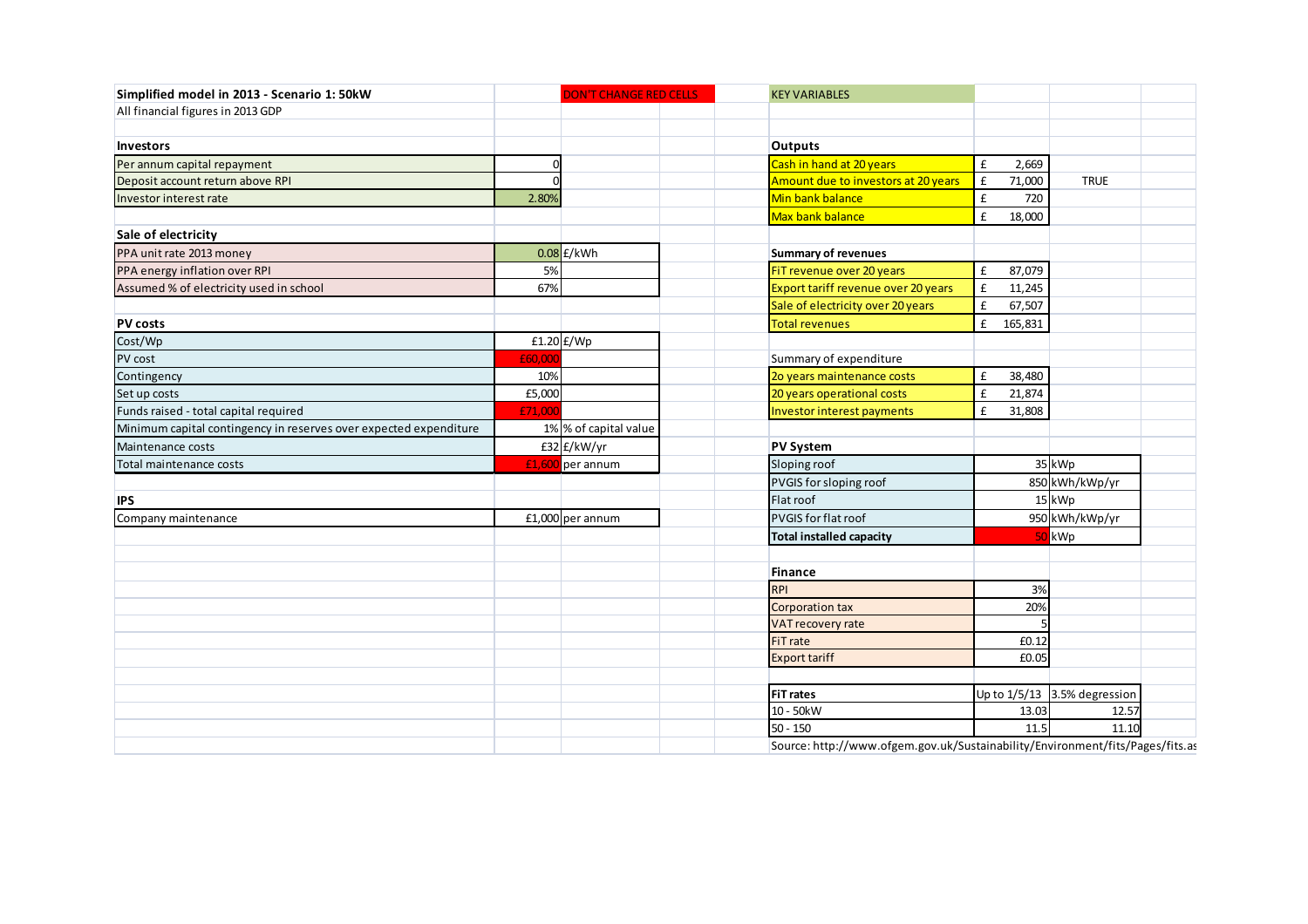| Simplified model in 2013 - Scenario 1: 50kW                       |            | <b>DON'T CHANGE RED CELLS</b> | <b>KEY VARIABLES</b>                                                          |                              |                                |
|-------------------------------------------------------------------|------------|-------------------------------|-------------------------------------------------------------------------------|------------------------------|--------------------------------|
| All financial figures in 2013 GDP                                 |            |                               |                                                                               |                              |                                |
|                                                                   |            |                               |                                                                               |                              |                                |
| <b>Investors</b>                                                  |            |                               | <b>Outputs</b>                                                                |                              |                                |
| Per annum capital repayment                                       | ſ          |                               | Cash in hand at 20 years                                                      | £<br>2,669                   |                                |
| Deposit account return above RPI                                  | $\sqrt{ }$ |                               | Amount due to investors at 20 years                                           | $\pmb{\mathsf{f}}$<br>71,000 | <b>TRUE</b>                    |
| Investor interest rate                                            | 2.80%      |                               | Min bank balance                                                              | £<br>720                     |                                |
|                                                                   |            |                               | Max bank balance                                                              | £<br>18,000                  |                                |
| Sale of electricity                                               |            |                               |                                                                               |                              |                                |
| PPA unit rate 2013 money                                          |            | $0.08$ £/kWh                  | <b>Summary of revenues</b>                                                    |                              |                                |
| PPA energy inflation over RPI                                     | 5%         |                               | FiT revenue over 20 years                                                     | £<br>87,079                  |                                |
| Assumed % of electricity used in school                           | 67%        |                               | Export tariff revenue over 20 years                                           | $\pmb{\mathsf{f}}$<br>11,245 |                                |
|                                                                   |            |                               | Sale of electricity over 20 years                                             | £<br>67,507                  |                                |
| <b>PV costs</b>                                                   |            |                               | <b>Total revenues</b>                                                         | £<br>165,831                 |                                |
| Cost/Wp                                                           |            | $f1.20$ $f/Wp$                |                                                                               |                              |                                |
| PV cost                                                           | £60,000    |                               | Summary of expenditure                                                        |                              |                                |
| Contingency                                                       | 10%        |                               | 20 years maintenance costs                                                    | £<br>38,480                  |                                |
| Set up costs                                                      | £5,000     |                               | 20 years operational costs                                                    | £<br>21,874                  |                                |
| Funds raised - total capital required                             | £71,000    |                               | Investor interest payments                                                    | £<br>31,808                  |                                |
| Minimum capital contingency in reserves over expected expenditure |            | 1% % of capital value         |                                                                               |                              |                                |
| Maintenance costs                                                 |            | £32 £/kW/yr                   | <b>PV System</b>                                                              |                              |                                |
| Total maintenance costs                                           |            | £1,600 per annum              | Sloping roof                                                                  |                              | 35 kWp                         |
|                                                                   |            |                               | PVGIS for sloping roof                                                        |                              | 850 kWh/kWp/yr                 |
| <b>IPS</b>                                                        |            |                               | Flat roof                                                                     |                              | 15 kWp                         |
| Company maintenance                                               |            | £1,000 per annum              | <b>PVGIS for flat roof</b>                                                    |                              | 950 kWh/kWp/yr                 |
|                                                                   |            |                               | <b>Total installed capacity</b>                                               |                              | 50 kWp                         |
|                                                                   |            |                               | <b>Finance</b>                                                                |                              |                                |
|                                                                   |            |                               | <b>RPI</b>                                                                    | 3%                           |                                |
|                                                                   |            |                               | <b>Corporation tax</b>                                                        | 20%                          |                                |
|                                                                   |            |                               | <b>VAT recovery rate</b>                                                      |                              |                                |
|                                                                   |            |                               | FiT rate                                                                      | £0.12                        |                                |
|                                                                   |            |                               | <b>Export tariff</b>                                                          | £0.05                        |                                |
|                                                                   |            |                               | <b>FiT rates</b>                                                              |                              | Up to $1/5/13$ 3.5% degression |
|                                                                   |            |                               | 10 - 50kW                                                                     | 13.03                        | 12.57                          |
|                                                                   |            |                               | $50 - 150$                                                                    | 11.5                         | 11.10                          |
|                                                                   |            |                               | Source: http://www.ofgem.gov.uk/Sustainability/Environment/fits/Pages/fits.as |                              |                                |